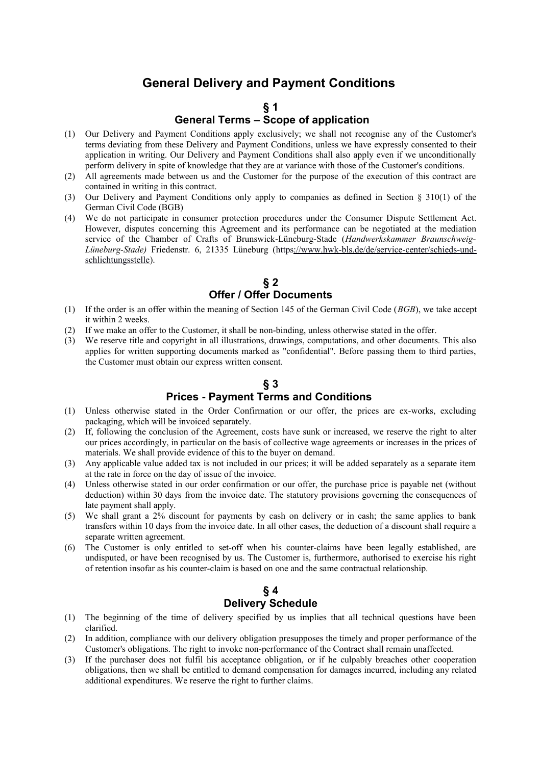# **General Delivery and Payment Conditions**

#### **§ 1 General Terms – Scope of application**

- (1) Our Delivery and Payment Conditions apply exclusively; we shall not recognise any of the Customer's terms deviating from these Delivery and Payment Conditions, unless we have expressly consented to their application in writing. Our Delivery and Payment Conditions shall also apply even if we unconditionally perform delivery in spite of knowledge that they are at variance with those of the Customer's conditions.
- (2) All agreements made between us and the Customer for the purpose of the execution of this contract are contained in writing in this contract.
- (3) Our Delivery and Payment Conditions only apply to companies as defined in Section § 310(1) of the German Civil Code (BGB)
- (4) We do not participate in consumer protection procedures under the Consumer Dispute Settlement Act. However, disputes concerning this Agreement and its performance can be negotiated at the mediation service of the Chamber of Crafts of Brunswick-Lüneburg-Stade (*Handwerkskammer Braunschweig-Lüneburg-Stade)* Friedenstr. 6, 21335 Lüneburg [\(https://www.hwk-bls.de/de/service-center/schieds-und](https://www.hwk-bls.de/de/service-center/schieds-und-schlichtungsstelle)[schlichtungsstelle\)](https://www.hwk-bls.de/de/service-center/schieds-und-schlichtungsstelle).

#### **§ 2 Offer / Offer Documents**

- (1) If the order is an offer within the meaning of Section 145 of the German Civil Code (*BGB*), we take accept it within 2 weeks.
- (2) If we make an offer to the Customer, it shall be non-binding, unless otherwise stated in the offer.
- (3) We reserve title and copyright in all illustrations, drawings, computations, and other documents. This also applies for written supporting documents marked as "confidential". Before passing them to third parties, the Customer must obtain our express written consent.

## **§ 3 Prices - Payment Terms and Conditions**

- (1) Unless otherwise stated in the Order Confirmation or our offer, the prices are ex-works, excluding packaging, which will be invoiced separately.
- (2) If, following the conclusion of the Agreement, costs have sunk or increased, we reserve the right to alter our prices accordingly, in particular on the basis of collective wage agreements or increases in the prices of materials. We shall provide evidence of this to the buyer on demand.
- (3) Any applicable value added tax is not included in our prices; it will be added separately as a separate item at the rate in force on the day of issue of the invoice.
- (4) Unless otherwise stated in our order confirmation or our offer, the purchase price is payable net (without deduction) within 30 days from the invoice date. The statutory provisions governing the consequences of late payment shall apply.
- (5) We shall grant a 2% discount for payments by cash on delivery or in cash; the same applies to bank transfers within 10 days from the invoice date. In all other cases, the deduction of a discount shall require a separate written agreement.
- (6) The Customer is only entitled to set-off when his counter-claims have been legally established, are undisputed, or have been recognised by us. The Customer is, furthermore, authorised to exercise his right of retention insofar as his counter-claim is based on one and the same contractual relationship.

#### **§ 4 Delivery Schedule**

- (1) The beginning of the time of delivery specified by us implies that all technical questions have been clarified.
- (2) In addition, compliance with our delivery obligation presupposes the timely and proper performance of the Customer's obligations. The right to invoke non-performance of the Contract shall remain unaffected.
- (3) If the purchaser does not fulfil his acceptance obligation, or if he culpably breaches other cooperation obligations, then we shall be entitled to demand compensation for damages incurred, including any related additional expenditures. We reserve the right to further claims.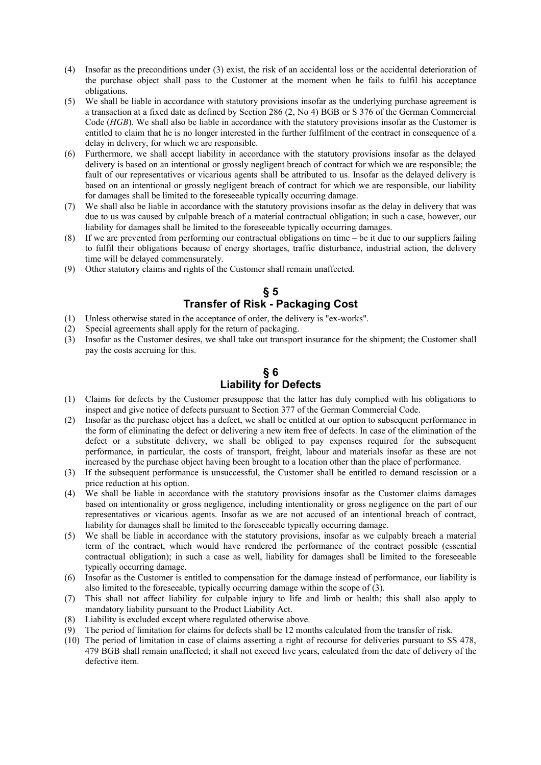- (4) Insofar as the preconditions under (3) exist, the risk of an accidental loss or the accidental deterioration of the purchase object shall pass to the Customer at the moment when he fails to fulfil his acceptance obligations.
- (5) We shall be liable in accordance with statutory provisions insofar as the underlying purchase agreement is a transaction at a fixed date as defined by Section 286 (2, No 4) BGB or S 376 of the German Commercial Code (*HGB*). We shall also be liable in accordance with the statutory provisions insofar as the Customer is entitled to claim that he is no longer interested in the further fulfilment of the contract in consequence of a delay in delivery, for which we are responsible.
- (6) Furthermore, we shall accept liability in accordance with the statutory provisions insofar as the delayed delivery is based on an intentional or grossly negligent breach of contract for which we are responsible; the fault of our representatives or vicarious agents shall be attributed to us. Insofar as the delayed delivery is based on an intentional or grossly negligent breach of contract for which we are responsible, our liability for damages shall be limited to the foreseeable typically occurring damage.
- (7) We shall also be liable in accordance with the statutory provisions insofar as the delay in delivery that was due to us was caused by culpable breach of a material contractual obligation; in such a case, however, our liability for damages shall be limited to the foreseeable typically occurring damages.
- (8) If we are prevented from performing our contractual obligations on time be it due to our suppliers failing to fulfil their obligations because of energy shortages, traffic disturbance, industrial action, the delivery time will be delayed commensurately.
- (9) Other statutory claims and rights of the Customer shall remain unaffected.

#### **§ 5 Transfer of Risk - Packaging Cost**

- (1) Unless otherwise stated in the acceptance of order, the delivery is "ex-works".
- (2) Special agreements shall apply for the return of packaging.
- (3) Insofar as the Customer desires, we shall take out transport insurance for the shipment; the Customer shall pay the costs accruing for this.

## **§ 6 Liability for Defects**

- (1) Claims for defects by the Customer presuppose that the latter has duly complied with his obligations to inspect and give notice of defects pursuant to Section 377 of the German Commercial Code.
- (2) Insofar as the purchase object has a defect, we shall be entitled at our option to subsequent performance in the form of eliminating the defect or delivering a new item free of defects. In case of the elimination of the defect or a substitute delivery, we shall be obliged to pay expenses required for the subsequent performance, in particular, the costs of transport, freight, labour and materials insofar as these are not increased by the purchase object having been brought to a location other than the place of performance.
- (3) If the subsequent performance is unsuccessful, the Customer shall be entitled to demand rescission or a price reduction at his option.
- (4) We shall be liable in accordance with the statutory provisions insofar as the Customer claims damages based on intentionality or gross negligence, including intentionality or gross negligence on the part of our representatives or vicarious agents. Insofar as we are not accused of an intentional breach of contract, liability for damages shall be limited to the foreseeable typically occurring damage.
- (5) We shall be liable in accordance with the statutory provisions, insofar as we culpably breach a material term of the contract, which would have rendered the performance of the contract possible (essential contractual obligation); in such a case as well, liability for damages shall be limited to the foreseeable typically occurring damage.
- (6) Insofar as the Customer is entitled to compensation for the damage instead of performance, our liability is also limited to the foreseeable, typically occurring damage within the scope of (3).
- (7) This shall not affect liability for culpable injury to life and limb or health; this shall also apply to mandatory liability pursuant to the Product Liability Act.
- (8) Liability is excluded except where regulated otherwise above.
- (9) The period of limitation for claims for defects shall be 12 months calculated from the transfer of risk.
- (10) The period of limitation in case of claims asserting a right of recourse for deliveries pursuant to SS 478, 479 BGB shall remain unaffected; it shall not exceed live years, calculated from the date of delivery of the defective item.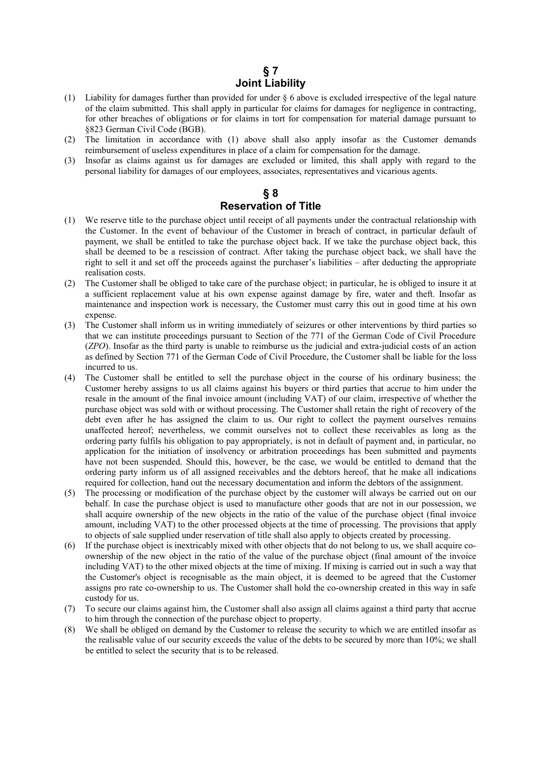### **§ 7 Joint Liability**

- (1) Liability for damages further than provided for under § 6 above is excluded irrespective of the legal nature of the claim submitted. This shall apply in particular for claims for damages for negligence in contracting, for other breaches of obligations or for claims in tort for compensation for material damage pursuant to §823 German Civil Code (BGB).
- (2) The limitation in accordance with (1) above shall also apply insofar as the Customer demands reimbursement of useless expenditures in place of a claim for compensation for the damage.
- (3) Insofar as claims against us for damages are excluded or limited, this shall apply with regard to the personal liability for damages of our employees, associates, representatives and vicarious agents.

# **§ 8 Reservation of Title**

- (1) We reserve title to the purchase object until receipt of all payments under the contractual relationship with the Customer. In the event of behaviour of the Customer in breach of contract, in particular default of payment, we shall be entitled to take the purchase object back. If we take the purchase object back, this shall be deemed to be a rescission of contract. After taking the purchase object back, we shall have the right to sell it and set off the proceeds against the purchaser's liabilities – after deducting the appropriate realisation costs.
- (2) The Customer shall be obliged to take care of the purchase object; in particular, he is obliged to insure it at a sufficient replacement value at his own expense against damage by fire, water and theft. Insofar as maintenance and inspection work is necessary, the Customer must carry this out in good time at his own expense.
- (3) The Customer shall inform us in writing immediately of seizures or other interventions by third parties so that we can institute proceedings pursuant to Section of the 771 of the German Code of Civil Procedure (*ZPO*). Insofar as the third party is unable to reimburse us the judicial and extra-judicial costs of an action as defined by Section 771 of the German Code of Civil Procedure, the Customer shall be liable for the loss incurred to us.
- (4) The Customer shall be entitled to sell the purchase object in the course of his ordinary business; the Customer hereby assigns to us all claims against his buyers or third parties that accrue to him under the resale in the amount of the final invoice amount (including VAT) of our claim, irrespective of whether the purchase object was sold with or without processing. The Customer shall retain the right of recovery of the debt even after he has assigned the claim to us. Our right to collect the payment ourselves remains unaffected hereof; nevertheless, we commit ourselves not to collect these receivables as long as the ordering party fulfils his obligation to pay appropriately, is not in default of payment and, in particular, no application for the initiation of insolvency or arbitration proceedings has been submitted and payments have not been suspended. Should this, however, be the case, we would be entitled to demand that the ordering party inform us of all assigned receivables and the debtors hereof, that he make all indications required for collection, hand out the necessary documentation and inform the debtors of the assignment.
- (5) The processing or modification of the purchase object by the customer will always be carried out on our behalf. In case the purchase object is used to manufacture other goods that are not in our possession, we shall acquire ownership of the new objects in the ratio of the value of the purchase object (final invoice amount, including VAT) to the other processed objects at the time of processing. The provisions that apply to objects of sale supplied under reservation of title shall also apply to objects created by processing.
- (6) If the purchase object is inextricably mixed with other objects that do not belong to us, we shall acquire coownership of the new object in the ratio of the value of the purchase object (final amount of the invoice including VAT) to the other mixed objects at the time of mixing. If mixing is carried out in such a way that the Customer's object is recognisable as the main object, it is deemed to be agreed that the Customer assigns pro rate co-ownership to us. The Customer shall hold the co-ownership created in this way in safe custody for us.
- (7) To secure our claims against him, the Customer shall also assign all claims against a third party that accrue to him through the connection of the purchase object to property.
- (8) We shall be obliged on demand by the Customer to release the security to which we are entitled insofar as the realisable value of our security exceeds the value of the debts to be secured by more than 10%; we shall be entitled to select the security that is to be released.